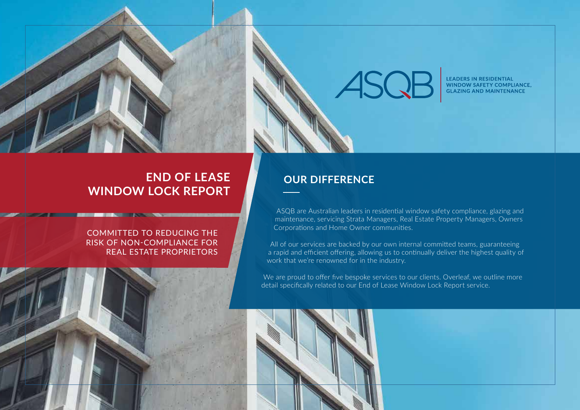# ASQB

LEADERS IN RESIDENTIAL<br>WINDOW SAFETY COMPLIANCE, **GLAZING AND MAINTENANCE** 

## **END OF LEASE WINDOW LOCK REPORT**

#### COMMITTED TO REDUCING THE RISK OF NON-COMPLIANCE FOR REAL ESTATE PROPRIETORS

*EXISTING AND POST OF PARTIES* 

### **OUR DIFFERENCE**

ASQB are Australian leaders in residential window safety compliance, glazing and maintenance, servicing Strata Managers, Real Estate Property Managers, Owners Corporations and Home Owner communities.

All of our services are backed by our own internal committed teams, guaranteeing a rapid and efficient offering, allowing us to continually deliver the highest quality of work that we're renowned for in the industry.

We are proud to offer five bespoke services to our clients. Overleaf, we outline more detail specifically related to our End of Lease Window Lock Report service.